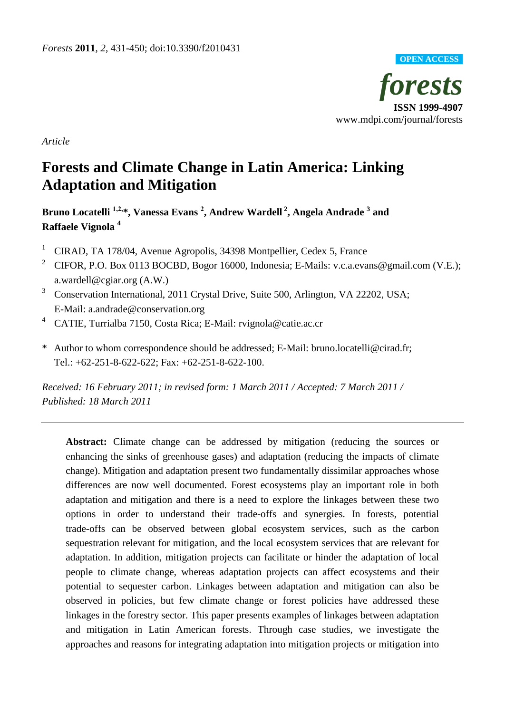

*Article*

# **Forests and Climate Change in Latin America: Linking Adaptation and Mitigation**

**Bruno Locatelli 1,2,\*, Vanessa Evans <sup>2</sup> , Andrew Wardell <sup>2</sup> , Angela Andrade <sup>3</sup> and Raffaele Vignola <sup>4</sup>**

- <sup>1</sup> CIRAD, TA 178/04, Avenue Agropolis, 34398 Montpellier, Cedex 5, France
- <sup>2</sup> CIFOR, P.O. Box 0113 BOCBD, Bogor 16000, Indonesia; E-Mails: v.c.a.evans@gmail.com (V.E.); a.wardell@cgiar.org (A.W.)
- <sup>3</sup> Conservation International, 2011 Crystal Drive, Suite 500, Arlington, VA 22202, USA; E-Mail: a.andrade@conservation.org
- <sup>4</sup> CATIE, Turrialba 7150, Costa Rica; E-Mail: rvignola@catie.ac.cr
- \* Author to whom correspondence should be addressed; E-Mail: bruno.locatelli@cirad.fr; Tel.: +62-251-8-622-622; Fax: +62-251-8-622-100.

*Received: 16 February 2011; in revised form: 1 March 2011 / Accepted: 7 March 2011 / Published: 18 March 2011*

**Abstract:** Climate change can be addressed by mitigation (reducing the sources or enhancing the sinks of greenhouse gases) and adaptation (reducing the impacts of climate change). Mitigation and adaptation present two fundamentally dissimilar approaches whose differences are now well documented. Forest ecosystems play an important role in both adaptation and mitigation and there is a need to explore the linkages between these two options in order to understand their trade-offs and synergies. In forests, potential trade-offs can be observed between global ecosystem services, such as the carbon sequestration relevant for mitigation, and the local ecosystem services that are relevant for adaptation. In addition, mitigation projects can facilitate or hinder the adaptation of local people to climate change, whereas adaptation projects can affect ecosystems and their potential to sequester carbon. Linkages between adaptation and mitigation can also be observed in policies, but few climate change or forest policies have addressed these linkages in the forestry sector. This paper presents examples of linkages between adaptation and mitigation in Latin American forests. Through case studies, we investigate the approaches and reasons for integrating adaptation into mitigation projects or mitigation into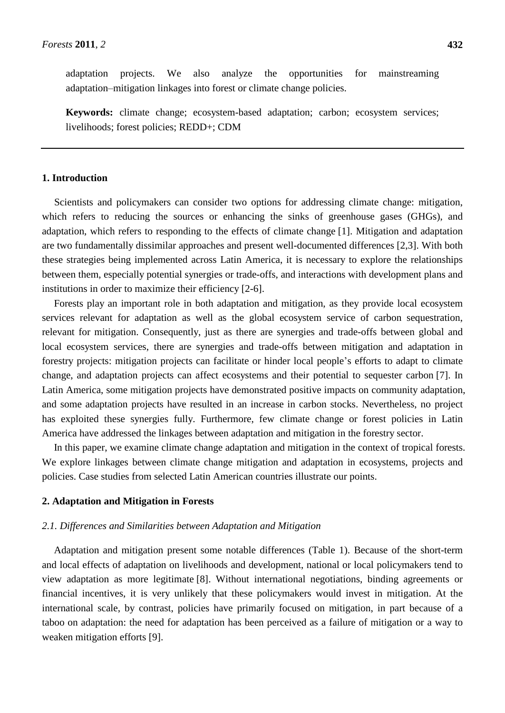adaptation projects. We also analyze the opportunities for mainstreaming adaptation–mitigation linkages into forest or climate change policies.

**Keywords:** climate change; ecosystem-based adaptation; carbon; ecosystem services; livelihoods; forest policies; REDD+; CDM

## **1. Introduction**

Scientists and policymakers can consider two options for addressing climate change: mitigation, which refers to reducing the sources or enhancing the sinks of greenhouse gases (GHGs), and adaptation, which refers to responding to the effects of climate change [1]. Mitigation and adaptation are two fundamentally dissimilar approaches and present well-documented differences [2,3]. With both these strategies being implemented across Latin America, it is necessary to explore the relationships between them, especially potential synergies or trade-offs, and interactions with development plans and institutions in order to maximize their efficiency [2-6].

Forests play an important role in both adaptation and mitigation, as they provide local ecosystem services relevant for adaptation as well as the global ecosystem service of carbon sequestration, relevant for mitigation. Consequently, just as there are synergies and trade-offs between global and local ecosystem services, there are synergies and trade-offs between mitigation and adaptation in forestry projects: mitigation projects can facilitate or hinder local people's efforts to adapt to climate change, and adaptation projects can affect ecosystems and their potential to sequester carbon [7]. In Latin America, some mitigation projects have demonstrated positive impacts on community adaptation, and some adaptation projects have resulted in an increase in carbon stocks. Nevertheless, no project has exploited these synergies fully. Furthermore, few climate change or forest policies in Latin America have addressed the linkages between adaptation and mitigation in the forestry sector.

In this paper, we examine climate change adaptation and mitigation in the context of tropical forests. We explore linkages between climate change mitigation and adaptation in ecosystems, projects and policies. Case studies from selected Latin American countries illustrate our points.

#### **2. Adaptation and Mitigation in Forests**

#### *2.1. Differences and Similarities between Adaptation and Mitigation*

Adaptation and mitigation present some notable differences (Table 1). Because of the short-term and local effects of adaptation on livelihoods and development, national or local policymakers tend to view adaptation as more legitimate [8]. Without international negotiations, binding agreements or financial incentives, it is very unlikely that these policymakers would invest in mitigation. At the international scale, by contrast, policies have primarily focused on mitigation, in part because of a taboo on adaptation: the need for adaptation has been perceived as a failure of mitigation or a way to weaken mitigation efforts [9].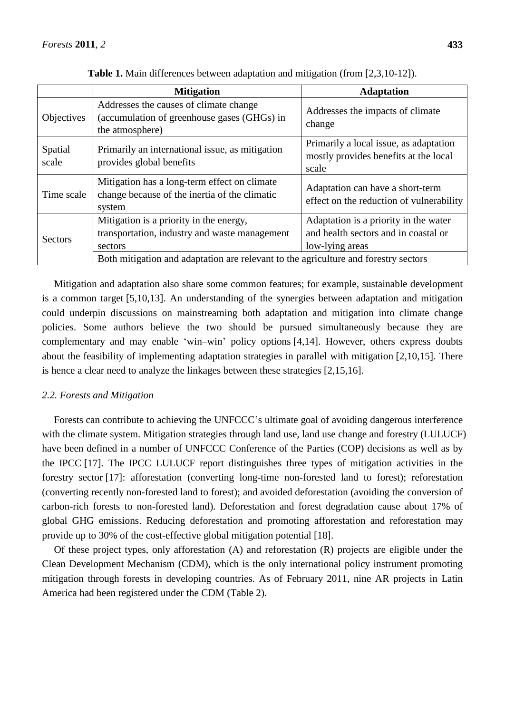|                  | <b>Mitigation</b>                                                                                        | <b>Adaptation</b>                                                                                |  |  |
|------------------|----------------------------------------------------------------------------------------------------------|--------------------------------------------------------------------------------------------------|--|--|
| Objectives       | Addresses the causes of climate change<br>(accumulation of greenhouse gases (GHGs) in<br>the atmosphere) | Addresses the impacts of climate<br>change                                                       |  |  |
| Spatial<br>scale | Primarily an international issue, as mitigation<br>provides global benefits                              | Primarily a local issue, as adaptation<br>mostly provides benefits at the local<br>scale         |  |  |
| Time scale       | Mitigation has a long-term effect on climate<br>change because of the inertia of the climatic<br>system  | Adaptation can have a short-term<br>effect on the reduction of vulnerability                     |  |  |
| <b>Sectors</b>   | Mitigation is a priority in the energy,<br>transportation, industry and waste management<br>sectors      | Adaptation is a priority in the water<br>and health sectors and in coastal or<br>low-lying areas |  |  |
|                  | Both mitigation and adaptation are relevant to the agriculture and forestry sectors                      |                                                                                                  |  |  |

**Table 1.** Main differences between adaptation and mitigation (from [2,3,10-12]).

Mitigation and adaptation also share some common features; for example, sustainable development is a common target [5,10,13]. An understanding of the synergies between adaptation and mitigation could underpin discussions on mainstreaming both adaptation and mitigation into climate change policies. Some authors believe the two should be pursued simultaneously because they are complementary and may enable ‗win–win' policy options [4,14]. However, others express doubts about the feasibility of implementing adaptation strategies in parallel with mitigation [2,10,15]. There is hence a clear need to analyze the linkages between these strategies [2,15,16].

# *2.2. Forests and Mitigation*

Forests can contribute to achieving the UNFCCC's ultimate goal of avoiding dangerous interference with the climate system. Mitigation strategies through land use, land use change and forestry (LULUCF) have been defined in a number of UNFCCC Conference of the Parties (COP) decisions as well as by the IPCC [17]. The IPCC LULUCF report distinguishes three types of mitigation activities in the forestry sector [17]: afforestation (converting long-time non-forested land to forest); reforestation (converting recently non-forested land to forest); and avoided deforestation (avoiding the conversion of carbon-rich forests to non-forested land). Deforestation and forest degradation cause about 17% of global GHG emissions. Reducing deforestation and promoting afforestation and reforestation may provide up to 30% of the cost-effective global mitigation potential [18].

Of these project types, only afforestation (A) and reforestation (R) projects are eligible under the Clean Development Mechanism (CDM), which is the only international policy instrument promoting mitigation through forests in developing countries. As of February 2011, nine AR projects in Latin America had been registered under the CDM (Table 2).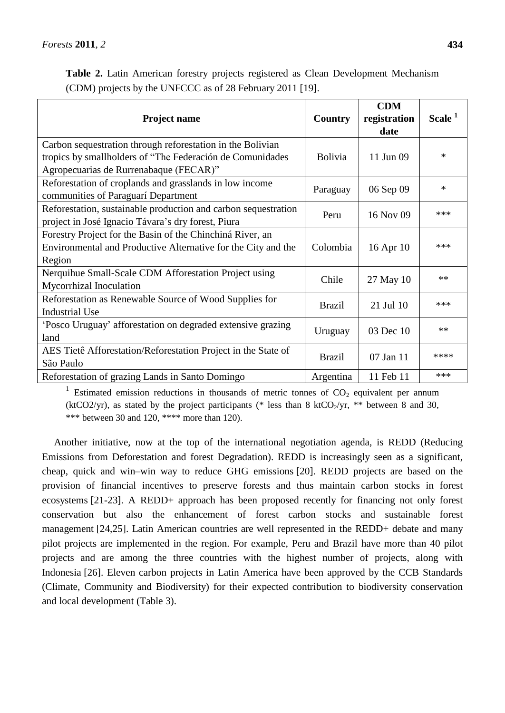|  |  |                                                           | Table 2. Latin American forestry projects registered as Clean Development Mechanism |  |
|--|--|-----------------------------------------------------------|-------------------------------------------------------------------------------------|--|
|  |  | (CDM) projects by the UNFCCC as of 28 February 2011 [19]. |                                                                                     |  |

| <b>Project name</b>                                                                                                                                                | Country        | <b>CDM</b><br>registration<br>date | Scale <sup>1</sup> |
|--------------------------------------------------------------------------------------------------------------------------------------------------------------------|----------------|------------------------------------|--------------------|
| Carbon sequestration through reforestation in the Bolivian<br>tropics by smallholders of "The Federación de Comunidades"<br>Agropecuarias de Rurrenabaque (FECAR)" | <b>Bolivia</b> | 11 Jun 09                          | $\ast$             |
| Reforestation of croplands and grasslands in low income<br>communities of Paraguar iDepartment                                                                     | Paraguay       | 06 Sep 09                          | $\ast$             |
| Reforestation, sustainable production and carbon sequestration<br>project in Jos é Ignacio Távara's dry forest, Piura                                              | Peru           | 16 Nov 09                          | ***                |
| Forestry Project for the Basin of the Chinchin á River, an<br>Environmental and Productive Alternative for the City and the<br>Region                              | Colombia       | 16 Apr 10                          | ***                |
| Nerquihue Small-Scale CDM Afforestation Project using<br>Mycorrhizal Inoculation                                                                                   | Chile          | 27 May 10                          | $**$               |
| Reforestation as Renewable Source of Wood Supplies for<br><b>Industrial Use</b>                                                                                    | <b>Brazil</b>  | 21 Jul 10                          | ***                |
| 'Posco Uruguay' afforestation on degraded extensive grazing<br>land                                                                                                | Uruguay        | 03 Dec 10                          | $**$               |
| AES Tiet ê Afforestation/Reforestation Project in the State of<br>São Paulo                                                                                        | <b>Brazil</b>  | 07 Jan 11                          | ****               |
| Reforestation of grazing Lands in Santo Domingo                                                                                                                    | Argentina      | 11 Feb 11                          | ***                |

<sup>1</sup> Estimated emission reductions in thousands of metric tonnes of  $CO<sub>2</sub>$  equivalent per annum (ktCO2/yr), as stated by the project participants (\* less than 8 ktCO<sub>2</sub>/yr, \*\* between 8 and 30, \*\*\* between 30 and 120, \*\*\*\* more than 120).

Another initiative, now at the top of the international negotiation agenda, is REDD (Reducing Emissions from Deforestation and forest Degradation). REDD is increasingly seen as a significant, cheap, quick and win–win way to reduce GHG emissions [20]. REDD projects are based on the provision of financial incentives to preserve forests and thus maintain carbon stocks in forest ecosystems [21-23]. A REDD+ approach has been proposed recently for financing not only forest conservation but also the enhancement of forest carbon stocks and sustainable forest management [24,25]. Latin American countries are well represented in the REDD+ debate and many pilot projects are implemented in the region. For example, Peru and Brazil have more than 40 pilot projects and are among the three countries with the highest number of projects, along with Indonesia [26]. Eleven carbon projects in Latin America have been approved by the CCB Standards (Climate, Community and Biodiversity) for their expected contribution to biodiversity conservation and local development (Table 3).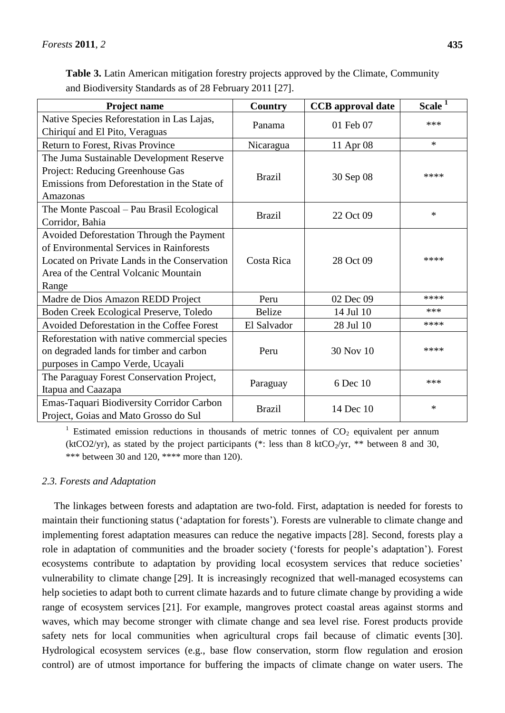| Table 3. Latin American mitigation forestry projects approved by the Climate, Community |  |  |
|-----------------------------------------------------------------------------------------|--|--|
| and Biodiversity Standards as of 28 February 2011 [27].                                 |  |  |

| Project name                                 | Country       | <b>CCB</b> approval date | Scale <sup>1</sup> |  |
|----------------------------------------------|---------------|--------------------------|--------------------|--|
| Native Species Reforestation in Las Lajas,   |               |                          | ***                |  |
| Chiriqu íand El Pito, Veraguas               | Panama        | 01 Feb 07                |                    |  |
| Return to Forest, Rivas Province             | Nicaragua     | 11 Apr 08                | $\ast$             |  |
| The Juma Sustainable Development Reserve     | <b>Brazil</b> |                          |                    |  |
| Project: Reducing Greenhouse Gas             |               | 30 Sep 08                | ****               |  |
| Emissions from Deforestation in the State of |               |                          |                    |  |
| Amazonas                                     |               |                          |                    |  |
| The Monte Pascoal – Pau Brasil Ecological    |               |                          | *                  |  |
| Corridor, Bahia                              | <b>Brazil</b> | 22 Oct 09                |                    |  |
| Avoided Deforestation Through the Payment    |               |                          |                    |  |
| of Environmental Services in Rainforests     |               |                          |                    |  |
| Located on Private Lands in the Conservation | Costa Rica    | 28 Oct 09                | ****               |  |
| Area of the Central Volcanic Mountain        |               |                          |                    |  |
| Range                                        |               |                          |                    |  |
| Madre de Dios Amazon REDD Project            | Peru          | 02 Dec 09                | ****               |  |
| Boden Creek Ecological Preserve, Toledo      | <b>Belize</b> | 14 Jul 10                | ***                |  |
| Avoided Deforestation in the Coffee Forest   | El Salvador   | 28 Jul 10                | ****               |  |
| Reforestation with native commercial species |               |                          |                    |  |
| on degraded lands for timber and carbon      | Peru          | 30 Nov 10                | ****               |  |
| purposes in Campo Verde, Ucayali             |               |                          |                    |  |
| The Paraguay Forest Conservation Project,    |               | 6 Dec 10                 | ***                |  |
| Itapua and Caazapa                           | Paraguay      |                          |                    |  |
| Emas-Taquari Biodiversity Corridor Carbon    | <b>Brazil</b> | 14 Dec 10                | $\ast$             |  |
| Project, Goias and Mato Grosso do Sul        |               |                          |                    |  |

<sup>1</sup> Estimated emission reductions in thousands of metric tonnes of  $CO<sub>2</sub>$  equivalent per annum (ktCO2/yr), as stated by the project participants (\*: less than 8 ktCO<sub>2</sub>/yr, \*\* between 8 and 30, \*\*\* between 30 and 120, \*\*\*\* more than 120).

# *2.3. Forests and Adaptation*

The linkages between forests and adaptation are two-fold. First, adaptation is needed for forests to maintain their functioning status ('adaptation for forests'). Forests are vulnerable to climate change and implementing forest adaptation measures can reduce the negative impacts [28]. Second, forests play a role in adaptation of communities and the broader society (‗forests for people's adaptation'). Forest ecosystems contribute to adaptation by providing local ecosystem services that reduce societies' vulnerability to climate change [29]. It is increasingly recognized that well-managed ecosystems can help societies to adapt both to current climate hazards and to future climate change by providing a wide range of ecosystem services [21]. For example, mangroves protect coastal areas against storms and waves, which may become stronger with climate change and sea level rise. Forest products provide safety nets for local communities when agricultural crops fail because of climatic events [30]. Hydrological ecosystem services (e.g., base flow conservation, storm flow regulation and erosion control) are of utmost importance for buffering the impacts of climate change on water users. The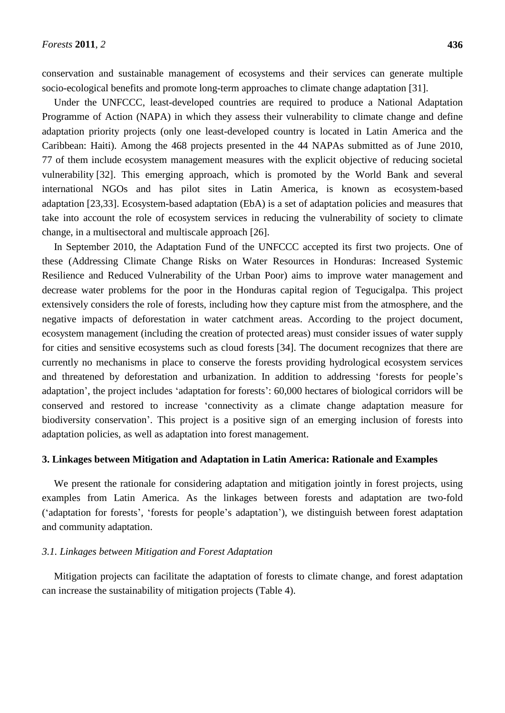conservation and sustainable management of ecosystems and their services can generate multiple socio-ecological benefits and promote long-term approaches to climate change adaptation [31].

Under the UNFCCC, least-developed countries are required to produce a National Adaptation Programme of Action (NAPA) in which they assess their vulnerability to climate change and define adaptation priority projects (only one least-developed country is located in Latin America and the Caribbean: Haiti). Among the 468 projects presented in the 44 NAPAs submitted as of June 2010, 77 of them include ecosystem management measures with the explicit objective of reducing societal vulnerability [32]. This emerging approach, which is promoted by the World Bank and several international NGOs and has pilot sites in Latin America, is known as ecosystem-based adaptation [23,33]. Ecosystem-based adaptation (EbA) is a set of adaptation policies and measures that take into account the role of ecosystem services in reducing the vulnerability of society to climate change, in a multisectoral and multiscale approach [26].

In September 2010, the Adaptation Fund of the UNFCCC accepted its first two projects. One of these (Addressing Climate Change Risks on Water Resources in Honduras: Increased Systemic Resilience and Reduced Vulnerability of the Urban Poor) aims to improve water management and decrease water problems for the poor in the Honduras capital region of Tegucigalpa. This project extensively considers the role of forests, including how they capture mist from the atmosphere, and the negative impacts of deforestation in water catchment areas. According to the project document, ecosystem management (including the creation of protected areas) must consider issues of water supply for cities and sensitive ecosystems such as cloud forests [34]. The document recognizes that there are currently no mechanisms in place to conserve the forests providing hydrological ecosystem services and threatened by deforestation and urbanization. In addition to addressing 'forests for people's adaptation', the project includes 'adaptation for forests': 60,000 hectares of biological corridors will be conserved and restored to increase 'connectivity as a climate change adaptation measure for biodiversity conservation'. This project is a positive sign of an emerging inclusion of forests into adaptation policies, as well as adaptation into forest management.

# **3. Linkages between Mitigation and Adaptation in Latin America: Rationale and Examples**

We present the rationale for considering adaptation and mitigation jointly in forest projects, using examples from Latin America. As the linkages between forests and adaptation are two-fold (‗adaptation for forests', ‗forests for people's adaptation'), we distinguish between forest adaptation and community adaptation.

#### *3.1. Linkages between Mitigation and Forest Adaptation*

Mitigation projects can facilitate the adaptation of forests to climate change, and forest adaptation can increase the sustainability of mitigation projects (Table 4).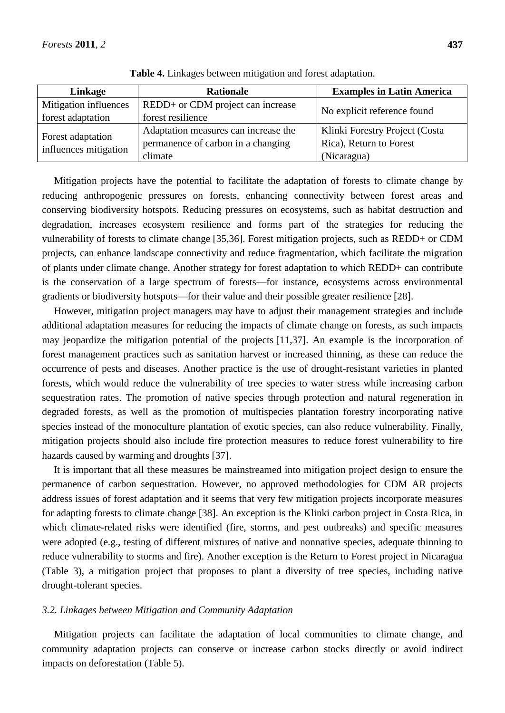| Linkage               | <b>Rationale</b>                     | <b>Examples in Latin America</b> |  |
|-----------------------|--------------------------------------|----------------------------------|--|
| Mitigation influences | REDD+ or CDM project can increase    |                                  |  |
| forest adaptation     | forest resilience                    | No explicit reference found      |  |
|                       | Adaptation measures can increase the | Klinki Forestry Project (Costa   |  |
| Forest adaptation     | permanence of carbon in a changing   | Rica), Return to Forest          |  |
| influences mitigation | climate                              | (Nicaragua)                      |  |

**Table 4.** Linkages between mitigation and forest adaptation.

Mitigation projects have the potential to facilitate the adaptation of forests to climate change by reducing anthropogenic pressures on forests, enhancing connectivity between forest areas and conserving biodiversity hotspots. Reducing pressures on ecosystems, such as habitat destruction and degradation, increases ecosystem resilience and forms part of the strategies for reducing the vulnerability of forests to climate change [35,36]. Forest mitigation projects, such as REDD+ or CDM projects, can enhance landscape connectivity and reduce fragmentation, which facilitate the migration of plants under climate change. Another strategy for forest adaptation to which REDD+ can contribute is the conservation of a large spectrum of forests—for instance, ecosystems across environmental gradients or biodiversity hotspots—for their value and their possible greater resilience [28].

However, mitigation project managers may have to adjust their management strategies and include additional adaptation measures for reducing the impacts of climate change on forests, as such impacts may jeopardize the mitigation potential of the projects [11,37]. An example is the incorporation of forest management practices such as sanitation harvest or increased thinning, as these can reduce the occurrence of pests and diseases. Another practice is the use of drought-resistant varieties in planted forests, which would reduce the vulnerability of tree species to water stress while increasing carbon sequestration rates. The promotion of native species through protection and natural regeneration in degraded forests, as well as the promotion of multispecies plantation forestry incorporating native species instead of the monoculture plantation of exotic species, can also reduce vulnerability. Finally, mitigation projects should also include fire protection measures to reduce forest vulnerability to fire hazards caused by warming and droughts [37].

It is important that all these measures be mainstreamed into mitigation project design to ensure the permanence of carbon sequestration. However, no approved methodologies for CDM AR projects address issues of forest adaptation and it seems that very few mitigation projects incorporate measures for adapting forests to climate change [38]. An exception is the Klinki carbon project in Costa Rica, in which climate-related risks were identified (fire, storms, and pest outbreaks) and specific measures were adopted (e.g., testing of different mixtures of native and nonnative species, adequate thinning to reduce vulnerability to storms and fire). Another exception is the Return to Forest project in Nicaragua (Table 3), a mitigation project that proposes to plant a diversity of tree species, including native drought-tolerant species.

#### *3.2. Linkages between Mitigation and Community Adaptation*

Mitigation projects can facilitate the adaptation of local communities to climate change, and community adaptation projects can conserve or increase carbon stocks directly or avoid indirect impacts on deforestation (Table 5).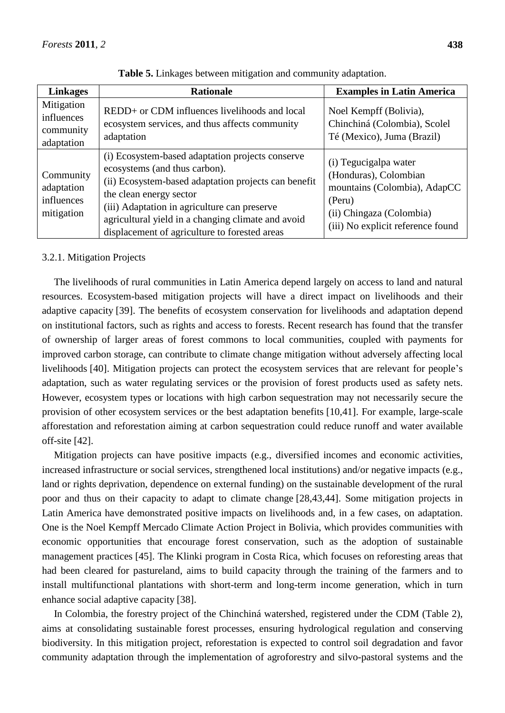| <b>Linkages</b>                                     | <b>Rationale</b>                                                                                                                                                                                                                                                                                                            | <b>Examples in Latin America</b>                                                                                                                          |
|-----------------------------------------------------|-----------------------------------------------------------------------------------------------------------------------------------------------------------------------------------------------------------------------------------------------------------------------------------------------------------------------------|-----------------------------------------------------------------------------------------------------------------------------------------------------------|
| Mitigation<br>influences<br>community<br>adaptation | REDD+ or CDM influences livelihoods and local<br>ecosystem services, and thus affects community<br>adaptation                                                                                                                                                                                                               | Noel Kempff (Bolivia),<br>Chinchin á (Colombia), Scolel<br>$T \notin (Mexico)$ , Juma (Brazil)                                                            |
| Community<br>adaptation<br>influences<br>mitigation | (i) Ecosystem-based adaptation projects conserve<br>ecosystems (and thus carbon).<br>(ii) Ecosystem-based adaptation projects can benefit<br>the clean energy sector<br>(iii) Adaptation in agriculture can preserve<br>agricultural yield in a changing climate and avoid<br>displacement of agriculture to forested areas | (i) Tegucigalpa water<br>(Honduras), Colombian<br>mountains (Colombia), AdapCC<br>(Peru)<br>(ii) Chingaza (Colombia)<br>(iii) No explicit reference found |

**Table 5.** Linkages between mitigation and community adaptation.

# 3.2.1. Mitigation Projects

The livelihoods of rural communities in Latin America depend largely on access to land and natural resources. Ecosystem-based mitigation projects will have a direct impact on livelihoods and their adaptive capacity [39]. The benefits of ecosystem conservation for livelihoods and adaptation depend on institutional factors, such as rights and access to forests. Recent research has found that the transfer of ownership of larger areas of forest commons to local communities, coupled with payments for improved carbon storage, can contribute to climate change mitigation without adversely affecting local livelihoods [40]. Mitigation projects can protect the ecosystem services that are relevant for people's adaptation, such as water regulating services or the provision of forest products used as safety nets. However, ecosystem types or locations with high carbon sequestration may not necessarily secure the provision of other ecosystem services or the best adaptation benefits [10,41]. For example, large-scale afforestation and reforestation aiming at carbon sequestration could reduce runoff and water available off-site [42].

Mitigation projects can have positive impacts (e.g., diversified incomes and economic activities, increased infrastructure or social services, strengthened local institutions) and/or negative impacts (e.g., land or rights deprivation, dependence on external funding) on the sustainable development of the rural poor and thus on their capacity to adapt to climate change [28,43,44]. Some mitigation projects in Latin America have demonstrated positive impacts on livelihoods and, in a few cases, on adaptation. One is the Noel Kempff Mercado Climate Action Project in Bolivia, which provides communities with economic opportunities that encourage forest conservation, such as the adoption of sustainable management practices [45]. The Klinki program in Costa Rica, which focuses on reforesting areas that had been cleared for pastureland, aims to build capacity through the training of the farmers and to install multifunctional plantations with short-term and long-term income generation, which in turn enhance social adaptive capacity [38].

In Colombia, the forestry project of the Chinchináwatershed, registered under the CDM (Table 2), aims at consolidating sustainable forest processes, ensuring hydrological regulation and conserving biodiversity. In this mitigation project, reforestation is expected to control soil degradation and favor community adaptation through the implementation of agroforestry and silvo-pastoral systems and the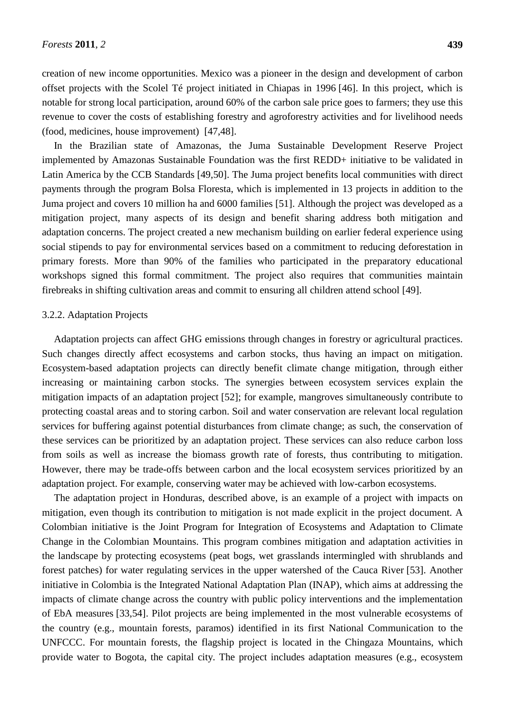creation of new income opportunities. Mexico was a pioneer in the design and development of carbon offset projects with the Scolel Téproject initiated in Chiapas in 1996 [46]. In this project, which is notable for strong local participation, around 60% of the carbon sale price goes to farmers; they use this revenue to cover the costs of establishing forestry and agroforestry activities and for livelihood needs (food, medicines, house improvement) [47,48].

In the Brazilian state of Amazonas, the Juma Sustainable Development Reserve Project implemented by Amazonas Sustainable Foundation was the first REDD+ initiative to be validated in Latin America by the CCB Standards [49,50]. The Juma project benefits local communities with direct payments through the program Bolsa Floresta, which is implemented in 13 projects in addition to the Juma project and covers 10 million ha and 6000 families [51]. Although the project was developed as a mitigation project, many aspects of its design and benefit sharing address both mitigation and adaptation concerns. The project created a new mechanism building on earlier federal experience using social stipends to pay for environmental services based on a commitment to reducing deforestation in primary forests. More than 90% of the families who participated in the preparatory educational workshops signed this formal commitment. The project also requires that communities maintain firebreaks in shifting cultivation areas and commit to ensuring all children attend school [49].

#### 3.2.2. Adaptation Projects

Adaptation projects can affect GHG emissions through changes in forestry or agricultural practices. Such changes directly affect ecosystems and carbon stocks, thus having an impact on mitigation. Ecosystem-based adaptation projects can directly benefit climate change mitigation, through either increasing or maintaining carbon stocks. The synergies between ecosystem services explain the mitigation impacts of an adaptation project [52]; for example, mangroves simultaneously contribute to protecting coastal areas and to storing carbon. Soil and water conservation are relevant local regulation services for buffering against potential disturbances from climate change; as such, the conservation of these services can be prioritized by an adaptation project. These services can also reduce carbon loss from soils as well as increase the biomass growth rate of forests, thus contributing to mitigation. However, there may be trade-offs between carbon and the local ecosystem services prioritized by an adaptation project. For example, conserving water may be achieved with low-carbon ecosystems.

The adaptation project in Honduras, described above, is an example of a project with impacts on mitigation, even though its contribution to mitigation is not made explicit in the project document. A Colombian initiative is the Joint Program for Integration of Ecosystems and Adaptation to Climate Change in the Colombian Mountains. This program combines mitigation and adaptation activities in the landscape by protecting ecosystems (peat bogs, wet grasslands intermingled with shrublands and forest patches) for water regulating services in the upper watershed of the Cauca River [53]. Another initiative in Colombia is the Integrated National Adaptation Plan (INAP), which aims at addressing the impacts of climate change across the country with public policy interventions and the implementation of EbA measures [33,54]. Pilot projects are being implemented in the most vulnerable ecosystems of the country (e.g., mountain forests, paramos) identified in its first National Communication to the UNFCCC. For mountain forests, the flagship project is located in the Chingaza Mountains, which provide water to Bogota, the capital city. The project includes adaptation measures (e.g., ecosystem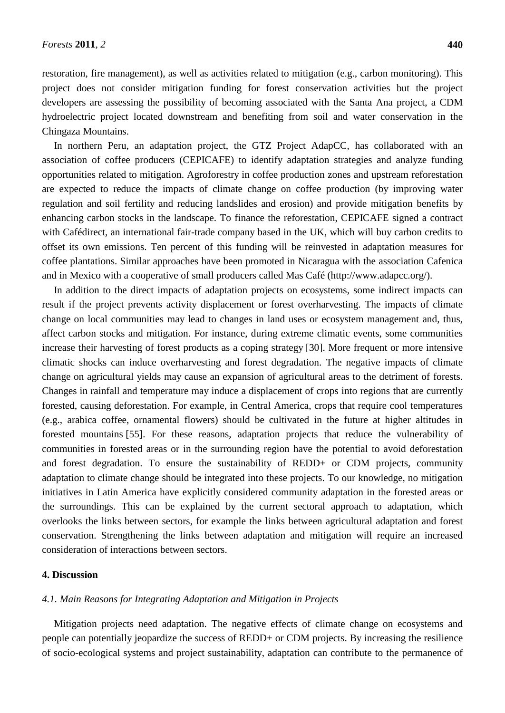restoration, fire management), as well as activities related to mitigation (e.g., carbon monitoring). This project does not consider mitigation funding for forest conservation activities but the project developers are assessing the possibility of becoming associated with the Santa Ana project, a CDM hydroelectric project located downstream and benefiting from soil and water conservation in the Chingaza Mountains.

In northern Peru, an adaptation project, the GTZ Project AdapCC, has collaborated with an association of coffee producers (CEPICAFE) to identify adaptation strategies and analyze funding opportunities related to mitigation. Agroforestry in coffee production zones and upstream reforestation are expected to reduce the impacts of climate change on coffee production (by improving water regulation and soil fertility and reducing landslides and erosion) and provide mitigation benefits by enhancing carbon stocks in the landscape. To finance the reforestation, CEPICAFE signed a contract with Cafédirect, an international fair-trade company based in the UK, which will buy carbon credits to offset its own emissions. Ten percent of this funding will be reinvested in adaptation measures for coffee plantations. Similar approaches have been promoted in Nicaragua with the association Cafenica and in Mexico with a cooperative of small producers called Mas Café(http://www.adapcc.org/).

In addition to the direct impacts of adaptation projects on ecosystems, some indirect impacts can result if the project prevents activity displacement or forest overharvesting. The impacts of climate change on local communities may lead to changes in land uses or ecosystem management and, thus, affect carbon stocks and mitigation. For instance, during extreme climatic events, some communities increase their harvesting of forest products as a coping strategy [30]. More frequent or more intensive climatic shocks can induce overharvesting and forest degradation. The negative impacts of climate change on agricultural yields may cause an expansion of agricultural areas to the detriment of forests. Changes in rainfall and temperature may induce a displacement of crops into regions that are currently forested, causing deforestation. For example, in Central America, crops that require cool temperatures (e.g., arabica coffee, ornamental flowers) should be cultivated in the future at higher altitudes in forested mountains [55]. For these reasons, adaptation projects that reduce the vulnerability of communities in forested areas or in the surrounding region have the potential to avoid deforestation and forest degradation. To ensure the sustainability of REDD+ or CDM projects, community adaptation to climate change should be integrated into these projects. To our knowledge, no mitigation initiatives in Latin America have explicitly considered community adaptation in the forested areas or the surroundings. This can be explained by the current sectoral approach to adaptation, which overlooks the links between sectors, for example the links between agricultural adaptation and forest conservation. Strengthening the links between adaptation and mitigation will require an increased consideration of interactions between sectors.

#### **4. Discussion**

#### *4.1. Main Reasons for Integrating Adaptation and Mitigation in Projects*

Mitigation projects need adaptation. The negative effects of climate change on ecosystems and people can potentially jeopardize the success of REDD+ or CDM projects. By increasing the resilience of socio-ecological systems and project sustainability, adaptation can contribute to the permanence of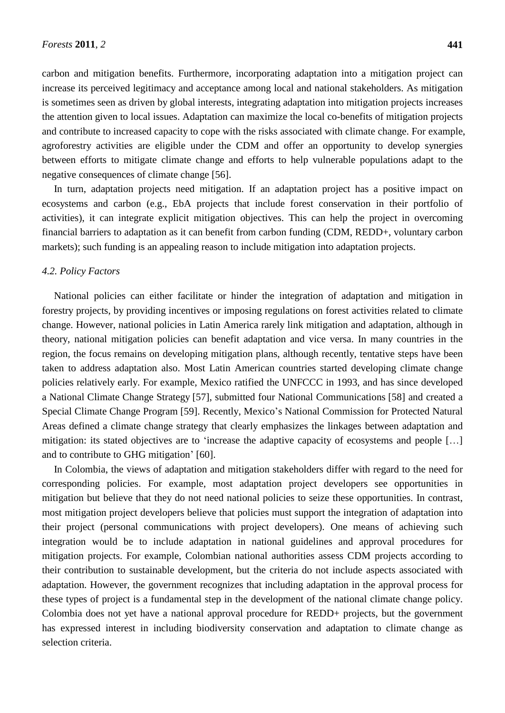carbon and mitigation benefits. Furthermore, incorporating adaptation into a mitigation project can increase its perceived legitimacy and acceptance among local and national stakeholders. As mitigation is sometimes seen as driven by global interests, integrating adaptation into mitigation projects increases the attention given to local issues. Adaptation can maximize the local co-benefits of mitigation projects and contribute to increased capacity to cope with the risks associated with climate change. For example, agroforestry activities are eligible under the CDM and offer an opportunity to develop synergies between efforts to mitigate climate change and efforts to help vulnerable populations adapt to the negative consequences of climate change [56].

In turn, adaptation projects need mitigation. If an adaptation project has a positive impact on ecosystems and carbon (e.g., EbA projects that include forest conservation in their portfolio of activities), it can integrate explicit mitigation objectives. This can help the project in overcoming financial barriers to adaptation as it can benefit from carbon funding (CDM, REDD+, voluntary carbon markets); such funding is an appealing reason to include mitigation into adaptation projects.

#### *4.2. Policy Factors*

National policies can either facilitate or hinder the integration of adaptation and mitigation in forestry projects, by providing incentives or imposing regulations on forest activities related to climate change. However, national policies in Latin America rarely link mitigation and adaptation, although in theory, national mitigation policies can benefit adaptation and vice versa. In many countries in the region, the focus remains on developing mitigation plans, although recently, tentative steps have been taken to address adaptation also. Most Latin American countries started developing climate change policies relatively early. For example, Mexico ratified the UNFCCC in 1993, and has since developed a National Climate Change Strategy [57], submitted four National Communications [58] and created a Special Climate Change Program [59]. Recently, Mexico's National Commission for Protected Natural Areas defined a climate change strategy that clearly emphasizes the linkages between adaptation and mitigation: its stated objectives are to 'increase the adaptive capacity of ecosystems and people [...] and to contribute to GHG mitigation' [60].

In Colombia, the views of adaptation and mitigation stakeholders differ with regard to the need for corresponding policies. For example, most adaptation project developers see opportunities in mitigation but believe that they do not need national policies to seize these opportunities. In contrast, most mitigation project developers believe that policies must support the integration of adaptation into their project (personal communications with project developers). One means of achieving such integration would be to include adaptation in national guidelines and approval procedures for mitigation projects. For example, Colombian national authorities assess CDM projects according to their contribution to sustainable development, but the criteria do not include aspects associated with adaptation. However, the government recognizes that including adaptation in the approval process for these types of project is a fundamental step in the development of the national climate change policy. Colombia does not yet have a national approval procedure for REDD+ projects, but the government has expressed interest in including biodiversity conservation and adaptation to climate change as selection criteria.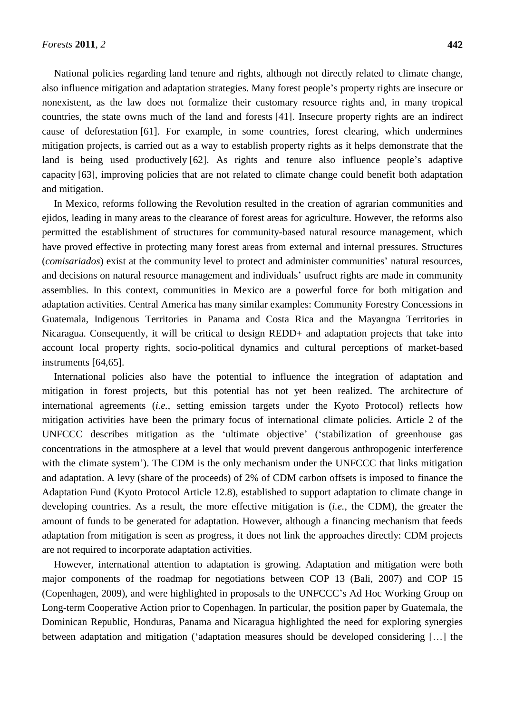National policies regarding land tenure and rights, although not directly related to climate change, also influence mitigation and adaptation strategies. Many forest people's property rights are insecure or nonexistent, as the law does not formalize their customary resource rights and, in many tropical countries, the state owns much of the land and forests [41]. Insecure property rights are an indirect cause of deforestation [61]. For example, in some countries, forest clearing, which undermines mitigation projects, is carried out as a way to establish property rights as it helps demonstrate that the land is being used productively [62]. As rights and tenure also influence people's adaptive capacity [63], improving policies that are not related to climate change could benefit both adaptation and mitigation.

In Mexico, reforms following the Revolution resulted in the creation of agrarian communities and ejidos, leading in many areas to the clearance of forest areas for agriculture. However, the reforms also permitted the establishment of structures for community-based natural resource management, which have proved effective in protecting many forest areas from external and internal pressures. Structures (*comisariados*) exist at the community level to protect and administer communities' natural resources, and decisions on natural resource management and individuals' usufruct rights are made in community assemblies. In this context, communities in Mexico are a powerful force for both mitigation and adaptation activities. Central America has many similar examples: Community Forestry Concessions in Guatemala, Indigenous Territories in Panama and Costa Rica and the Mayangna Territories in Nicaragua. Consequently, it will be critical to design REDD+ and adaptation projects that take into account local property rights, socio-political dynamics and cultural perceptions of market-based instruments [64,65].

International policies also have the potential to influence the integration of adaptation and mitigation in forest projects, but this potential has not yet been realized. The architecture of international agreements (*i.e.*, setting emission targets under the Kyoto Protocol) reflects how mitigation activities have been the primary focus of international climate policies. Article 2 of the UNFCCC describes mitigation as the ‗ultimate objective' (‗stabilization of greenhouse gas concentrations in the atmosphere at a level that would prevent dangerous anthropogenic interference with the climate system'). The CDM is the only mechanism under the UNFCCC that links mitigation and adaptation. A levy (share of the proceeds) of 2% of CDM carbon offsets is imposed to finance the Adaptation Fund (Kyoto Protocol Article 12.8), established to support adaptation to climate change in developing countries. As a result, the more effective mitigation is (*i.e.*, the CDM), the greater the amount of funds to be generated for adaptation. However, although a financing mechanism that feeds adaptation from mitigation is seen as progress, it does not link the approaches directly: CDM projects are not required to incorporate adaptation activities.

However, international attention to adaptation is growing. Adaptation and mitigation were both major components of the roadmap for negotiations between COP 13 (Bali, 2007) and COP 15 (Copenhagen, 2009), and were highlighted in proposals to the UNFCCC's Ad Hoc Working Group on Long-term Cooperative Action prior to Copenhagen. In particular, the position paper by Guatemala, the Dominican Republic, Honduras, Panama and Nicaragua highlighted the need for exploring synergies between adaptation and mitigation ('adaptation measures should be developed considering [...] the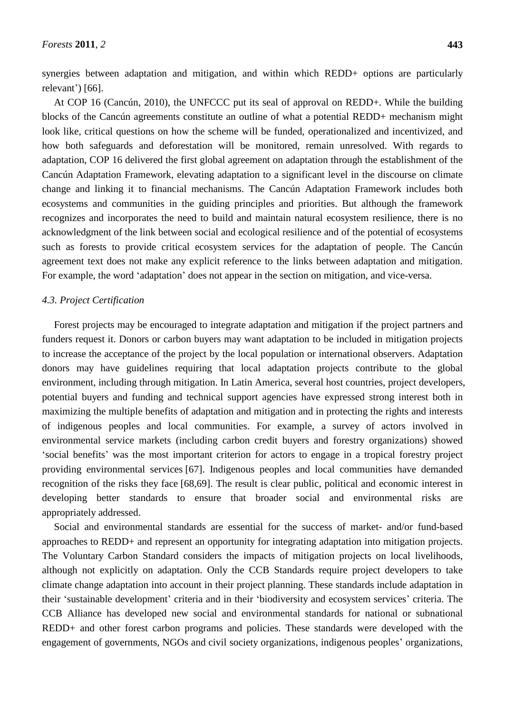synergies between adaptation and mitigation, and within which REDD+ options are particularly relevant') [66].

At COP 16 (Cancún, 2010), the UNFCCC put its seal of approval on REDD+. While the building blocks of the Cancún agreements constitute an outline of what a potential REDD+ mechanism might look like, critical questions on how the scheme will be funded, operationalized and incentivized, and how both safeguards and deforestation will be monitored, remain unresolved. With regards to adaptation, COP 16 delivered the first global agreement on adaptation through the establishment of the Cancún Adaptation Framework, elevating adaptation to a significant level in the discourse on climate change and linking it to financial mechanisms. The Cancún Adaptation Framework includes both ecosystems and communities in the guiding principles and priorities. But although the framework recognizes and incorporates the need to build and maintain natural ecosystem resilience, there is no acknowledgment of the link between social and ecological resilience and of the potential of ecosystems such as forests to provide critical ecosystem services for the adaptation of people. The Cancún agreement text does not make any explicit reference to the links between adaptation and mitigation. For example, the word 'adaptation' does not appear in the section on mitigation, and vice-versa.

#### *4.3. Project Certification*

Forest projects may be encouraged to integrate adaptation and mitigation if the project partners and funders request it. Donors or carbon buyers may want adaptation to be included in mitigation projects to increase the acceptance of the project by the local population or international observers. Adaptation donors may have guidelines requiring that local adaptation projects contribute to the global environment, including through mitigation. In Latin America, several host countries, project developers, potential buyers and funding and technical support agencies have expressed strong interest both in maximizing the multiple benefits of adaptation and mitigation and in protecting the rights and interests of indigenous peoples and local communities. For example, a survey of actors involved in environmental service markets (including carbon credit buyers and forestry organizations) showed ‗social benefits' was the most important criterion for actors to engage in a tropical forestry project providing environmental services [67]. Indigenous peoples and local communities have demanded recognition of the risks they face [68,69]. The result is clear public, political and economic interest in developing better standards to ensure that broader social and environmental risks are appropriately addressed.

Social and environmental standards are essential for the success of market- and/or fund-based approaches to REDD+ and represent an opportunity for integrating adaptation into mitigation projects. The Voluntary Carbon Standard considers the impacts of mitigation projects on local livelihoods, although not explicitly on adaptation. Only the CCB Standards require project developers to take climate change adaptation into account in their project planning. These standards include adaptation in their ‗sustainable development' criteria and in their ‗biodiversity and ecosystem services' criteria. The CCB Alliance has developed new social and environmental standards for national or subnational REDD+ and other forest carbon programs and policies. These standards were developed with the engagement of governments, NGOs and civil society organizations, indigenous peoples' organizations,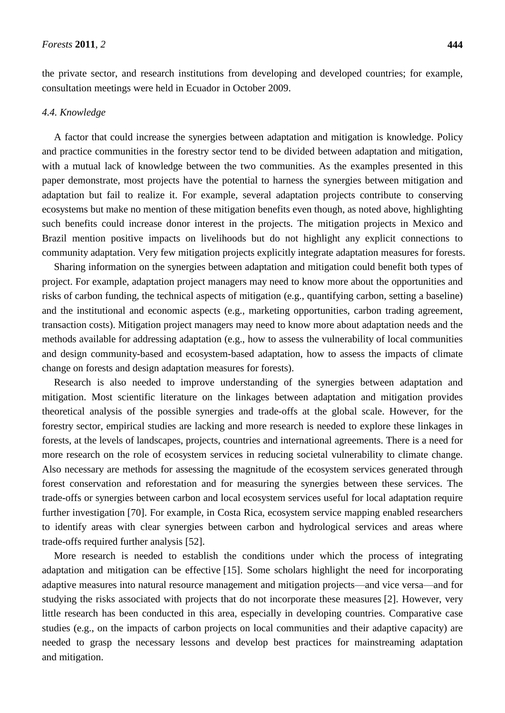the private sector, and research institutions from developing and developed countries; for example, consultation meetings were held in Ecuador in October 2009.

## *4.4. Knowledge*

A factor that could increase the synergies between adaptation and mitigation is knowledge. Policy and practice communities in the forestry sector tend to be divided between adaptation and mitigation, with a mutual lack of knowledge between the two communities. As the examples presented in this paper demonstrate, most projects have the potential to harness the synergies between mitigation and adaptation but fail to realize it. For example, several adaptation projects contribute to conserving ecosystems but make no mention of these mitigation benefits even though, as noted above, highlighting such benefits could increase donor interest in the projects. The mitigation projects in Mexico and Brazil mention positive impacts on livelihoods but do not highlight any explicit connections to community adaptation. Very few mitigation projects explicitly integrate adaptation measures for forests.

Sharing information on the synergies between adaptation and mitigation could benefit both types of project. For example, adaptation project managers may need to know more about the opportunities and risks of carbon funding, the technical aspects of mitigation (e.g., quantifying carbon, setting a baseline) and the institutional and economic aspects (e.g., marketing opportunities, carbon trading agreement, transaction costs). Mitigation project managers may need to know more about adaptation needs and the methods available for addressing adaptation (e.g., how to assess the vulnerability of local communities and design community-based and ecosystem-based adaptation, how to assess the impacts of climate change on forests and design adaptation measures for forests).

Research is also needed to improve understanding of the synergies between adaptation and mitigation. Most scientific literature on the linkages between adaptation and mitigation provides theoretical analysis of the possible synergies and trade-offs at the global scale. However, for the forestry sector, empirical studies are lacking and more research is needed to explore these linkages in forests, at the levels of landscapes, projects, countries and international agreements. There is a need for more research on the role of ecosystem services in reducing societal vulnerability to climate change. Also necessary are methods for assessing the magnitude of the ecosystem services generated through forest conservation and reforestation and for measuring the synergies between these services. The trade-offs or synergies between carbon and local ecosystem services useful for local adaptation require further investigation [70]. For example, in Costa Rica, ecosystem service mapping enabled researchers to identify areas with clear synergies between carbon and hydrological services and areas where trade-offs required further analysis [52].

More research is needed to establish the conditions under which the process of integrating adaptation and mitigation can be effective [15]. Some scholars highlight the need for incorporating adaptive measures into natural resource management and mitigation projects—and vice versa—and for studying the risks associated with projects that do not incorporate these measures [2]. However, very little research has been conducted in this area, especially in developing countries. Comparative case studies (e.g., on the impacts of carbon projects on local communities and their adaptive capacity) are needed to grasp the necessary lessons and develop best practices for mainstreaming adaptation and mitigation.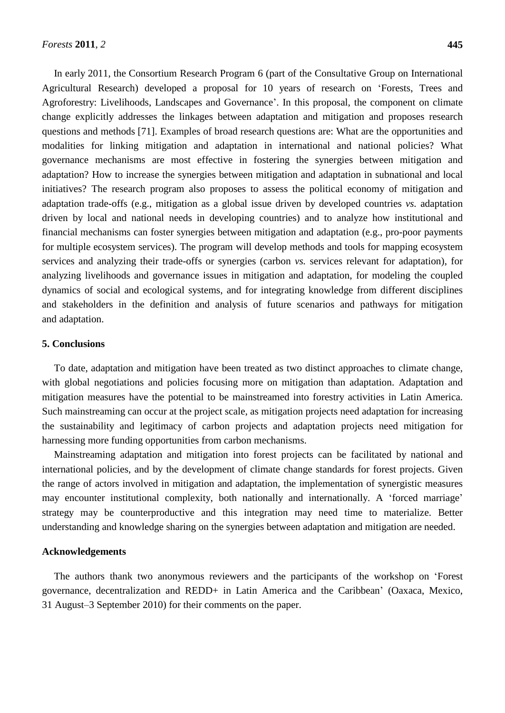In early 2011, the Consortium Research Program 6 (part of the Consultative Group on International Agricultural Research) developed a proposal for 10 years of research on 'Forests, Trees and Agroforestry: Livelihoods, Landscapes and Governance'. In this proposal, the component on climate change explicitly addresses the linkages between adaptation and mitigation and proposes research questions and methods [71]. Examples of broad research questions are: What are the opportunities and modalities for linking mitigation and adaptation in international and national policies? What governance mechanisms are most effective in fostering the synergies between mitigation and adaptation? How to increase the synergies between mitigation and adaptation in subnational and local initiatives? The research program also proposes to assess the political economy of mitigation and adaptation trade-offs (e.g., mitigation as a global issue driven by developed countries *vs.* adaptation driven by local and national needs in developing countries) and to analyze how institutional and financial mechanisms can foster synergies between mitigation and adaptation (e.g., pro-poor payments for multiple ecosystem services). The program will develop methods and tools for mapping ecosystem services and analyzing their trade-offs or synergies (carbon *vs.* services relevant for adaptation), for analyzing livelihoods and governance issues in mitigation and adaptation, for modeling the coupled dynamics of social and ecological systems, and for integrating knowledge from different disciplines and stakeholders in the definition and analysis of future scenarios and pathways for mitigation and adaptation.

#### **5. Conclusions**

To date, adaptation and mitigation have been treated as two distinct approaches to climate change, with global negotiations and policies focusing more on mitigation than adaptation. Adaptation and mitigation measures have the potential to be mainstreamed into forestry activities in Latin America. Such mainstreaming can occur at the project scale, as mitigation projects need adaptation for increasing the sustainability and legitimacy of carbon projects and adaptation projects need mitigation for harnessing more funding opportunities from carbon mechanisms.

Mainstreaming adaptation and mitigation into forest projects can be facilitated by national and international policies, and by the development of climate change standards for forest projects. Given the range of actors involved in mitigation and adaptation, the implementation of synergistic measures may encounter institutional complexity, both nationally and internationally. A ‗forced marriage' strategy may be counterproductive and this integration may need time to materialize. Better understanding and knowledge sharing on the synergies between adaptation and mitigation are needed.

#### **Acknowledgements**

The authors thank two anonymous reviewers and the participants of the workshop on 'Forest governance, decentralization and REDD+ in Latin America and the Caribbean' (Oaxaca, Mexico, 31 August–3 September 2010) for their comments on the paper.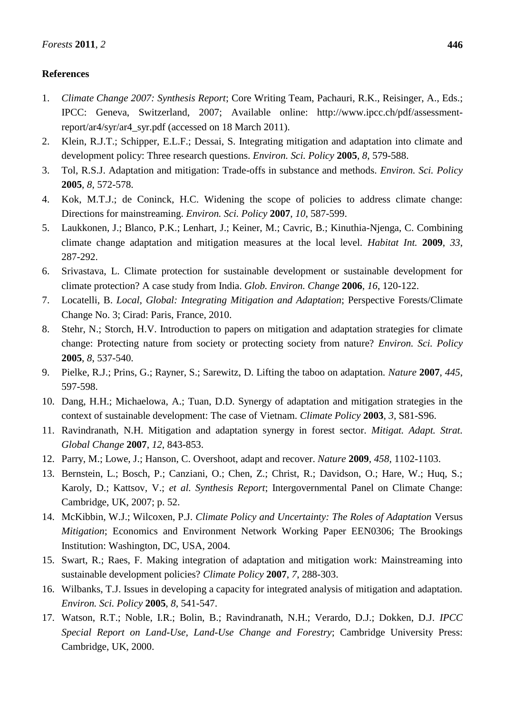# **References**

- 1. *Climate Change 2007: Synthesis Report*; Core Writing Team, Pachauri, R.K., Reisinger, A., Eds.; IPCC: Geneva, Switzerland, 2007; Available online: http://www.ipcc.ch/pdf/assessmentreport/ar4/syr/ar4\_syr.pdf (accessed on 18 March 2011).
- 2. Klein, R.J.T.; Schipper, E.L.F.; Dessai, S. Integrating mitigation and adaptation into climate and development policy: Three research questions. *Environ. Sci. Policy* **2005**, *8*, 579-588.
- 3. Tol, R.S.J. Adaptation and mitigation: Trade-offs in substance and methods. *Environ. Sci. Policy*  **2005**, *8*, 572-578.
- 4. Kok, M.T.J.; de Coninck, H.C. Widening the scope of policies to address climate change: Directions for mainstreaming. *Environ. Sci. Policy* **2007**, *10*, 587-599.
- 5. Laukkonen, J.; Blanco, P.K.; Lenhart, J.; Keiner, M.; Cavric, B.; Kinuthia-Njenga, C. Combining climate change adaptation and mitigation measures at the local level. *Habitat Int.* **2009**, *33*, 287-292.
- 6. Srivastava, L. Climate protection for sustainable development or sustainable development for climate protection? A case study from India. *Glob. Environ. Change* **2006**, *16*, 120-122.
- 7. Locatelli, B. *Local, Global: Integrating Mitigation and Adaptation*; Perspective Forests/Climate Change No. 3; Cirad: Paris, France, 2010.
- 8. Stehr, N.; Storch, H.V. Introduction to papers on mitigation and adaptation strategies for climate change: Protecting nature from society or protecting society from nature? *Environ. Sci. Policy*  **2005**, *8*, 537-540.
- 9. Pielke, R.J.; Prins, G.; Rayner, S.; Sarewitz, D. Lifting the taboo on adaptation. *Nature* **2007**, *445*, 597-598.
- 10. Dang, H.H.; Michaelowa, A.; Tuan, D.D. Synergy of adaptation and mitigation strategies in the context of sustainable development: The case of Vietnam. *Climate Policy* **2003**, *3*, S81-S96.
- 11. Ravindranath, N.H. Mitigation and adaptation synergy in forest sector. *Mitigat. Adapt. Strat. Global Change* **2007**, *12*, 843-853.
- 12. Parry, M.; Lowe, J.; Hanson, C. Overshoot, adapt and recover. *Nature* **2009**, *458*, 1102-1103.
- 13. Bernstein, L.; Bosch, P.; Canziani, O.; Chen, Z.; Christ, R.; Davidson, O.; Hare, W.; Huq, S.; Karoly, D.; Kattsov, V.; *et al. Synthesis Report*; Intergovernmental Panel on Climate Change: Cambridge, UK, 2007; p. 52.
- 14. McKibbin, W.J.; Wilcoxen, P.J. *Climate Policy and Uncertainty: The Roles of Adaptation* Versus *Mitigation*; Economics and Environment Network Working Paper EEN0306; The Brookings Institution: Washington, DC, USA, 2004.
- 15. Swart, R.; Raes, F. Making integration of adaptation and mitigation work: Mainstreaming into sustainable development policies? *Climate Policy* **2007**, *7*, 288-303.
- 16. Wilbanks, T.J. Issues in developing a capacity for integrated analysis of mitigation and adaptation. *Environ. Sci. Policy* **2005**, *8*, 541-547.
- 17. Watson, R.T.; Noble, I.R.; Bolin, B.; Ravindranath, N.H.; Verardo, D.J.; Dokken, D.J. *IPCC Special Report on Land-Use, Land-Use Change and Forestry*; Cambridge University Press: Cambridge, UK, 2000.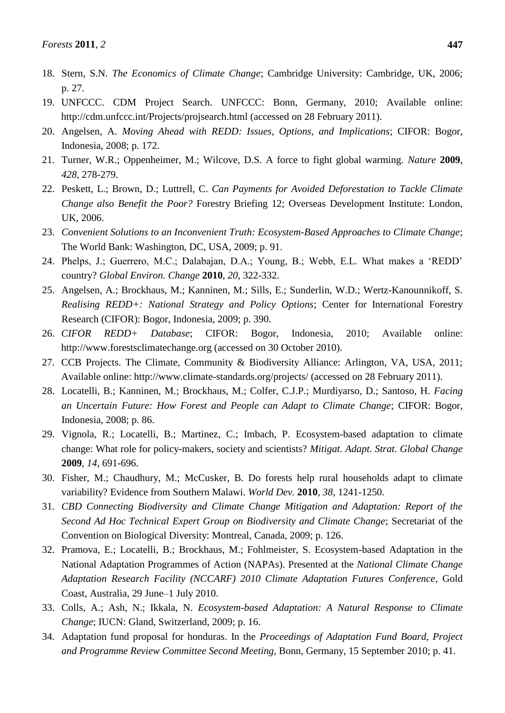- 18. Stern, S.N. *The Economics of Climate Change*; Cambridge University: Cambridge, UK, 2006; p. 27.
- 19. UNFCCC. CDM Project Search. UNFCCC: Bonn, Germany, 2010; Available online: http://cdm.unfccc.int/Projects/projsearch.html (accessed on 28 February 2011).
- 20. Angelsen, A. *Moving Ahead with REDD: Issues, Options, and Implications*; CIFOR: Bogor, Indonesia, 2008; p. 172.
- 21. Turner, W.R.; Oppenheimer, M.; Wilcove, D.S. A force to fight global warming. *Nature* **2009**, *428*, 278-279.
- 22. Peskett, L.; Brown, D.; Luttrell, C. *Can Payments for Avoided Deforestation to Tackle Climate Change also Benefit the Poor?* Forestry Briefing 12; Overseas Development Institute: London, UK, 2006.
- 23. *Convenient Solutions to an Inconvenient Truth: Ecosystem-Based Approaches to Climate Change*; The World Bank: Washington, DC, USA, 2009; p. 91.
- 24. Phelps, J.; Guerrero, M.C.; Dalabajan, D.A.; Young, B.; Webb, E.L. What makes a 'REDD' country? *Global Environ. Change* **2010**, *20*, 322-332.
- 25. Angelsen, A.; Brockhaus, M.; Kanninen, M.; Sills, E.; Sunderlin, W.D.; Wertz-Kanounnikoff, S. *Realising REDD+: National Strategy and Policy Options*; Center for International Forestry Research (CIFOR): Bogor, Indonesia, 2009; p. 390.
- 26. *CIFOR REDD+ Database*; CIFOR: Bogor, Indonesia, 2010; Available online: http://www.forestsclimatechange.org (accessed on 30 October 2010).
- 27. CCB Projects. The Climate, Community & Biodiversity Alliance: Arlington, VA, USA, 2011; Available online: http://www.climate-standards.org/projects/ (accessed on 28 February 2011).
- 28. Locatelli, B.; Kanninen, M.; Brockhaus, M.; Colfer, C.J.P.; Murdiyarso, D.; Santoso, H. *Facing an Uncertain Future: How Forest and People can Adapt to Climate Change*; CIFOR: Bogor, Indonesia, 2008; p. 86.
- 29. Vignola, R.; Locatelli, B.; Martinez, C.; Imbach, P. Ecosystem-based adaptation to climate change: What role for policy-makers, society and scientists? *Mitigat. Adapt. Strat. Global Change*  **2009**, *14*, 691-696.
- 30. Fisher, M.; Chaudhury, M.; McCusker, B. Do forests help rural households adapt to climate variability? Evidence from Southern Malawi. *World Dev.* **2010**, *38*, 1241-1250.
- 31. *CBD Connecting Biodiversity and Climate Change Mitigation and Adaptation: Report of the Second Ad Hoc Technical Expert Group on Biodiversity and Climate Change*; Secretariat of the Convention on Biological Diversity: Montreal, Canada, 2009; p. 126.
- 32. Pramova, E.; Locatelli, B.; Brockhaus, M.; Fohlmeister, S. Ecosystem-based Adaptation in the National Adaptation Programmes of Action (NAPAs). Presented at the *National Climate Change Adaptation Research Facility (NCCARF) 2010 Climate Adaptation Futures Conference*, Gold Coast, Australia, 29 June–1 July 2010.
- 33. Colls, A.; Ash, N.; Ikkala, N. *Ecosystem-based Adaptation: A Natural Response to Climate Change*; IUCN: Gland, Switzerland, 2009; p. 16.
- 34. Adaptation fund proposal for honduras. In the *Proceedings of Adaptation Fund Board, Project and Programme Review Committee Second Meeting*, Bonn, Germany, 15 September 2010; p. 41.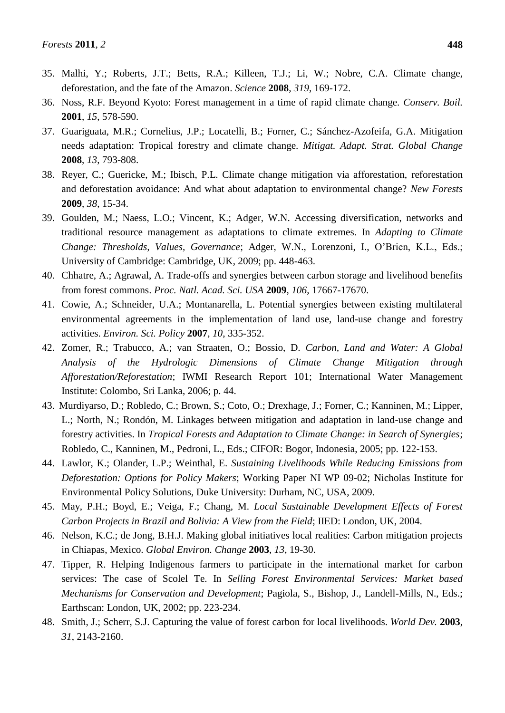- 35. Malhi, Y.; Roberts, J.T.; Betts, R.A.; Killeen, T.J.; Li, W.; Nobre, C.A. Climate change, deforestation, and the fate of the Amazon. *Science* **2008**, *319*, 169-172.
- 36. Noss, R.F. Beyond Kyoto: Forest management in a time of rapid climate change. *Conserv. Boil.*  **2001**, *15*, 578-590.
- 37. Guariguata, M.R.; Cornelius, J.P.; Locatelli, B.; Forner, C.; Sánchez-Azofeifa, G.A. Mitigation needs adaptation: Tropical forestry and climate change. *Mitigat. Adapt. Strat. Global Change*  **2008**, *13*, 793-808.
- 38. Reyer, C.; Guericke, M.; Ibisch, P.L. Climate change mitigation via afforestation, reforestation and deforestation avoidance: And what about adaptation to environmental change? *New Forests*  **2009**, *38*, 15-34.
- 39. Goulden, M.; Naess, L.O.; Vincent, K.; Adger, W.N. Accessing diversification, networks and traditional resource management as adaptations to climate extremes. In *Adapting to Climate Change: Thresholds, Values, Governance*; Adger, W.N., Lorenzoni, I., O'Brien, K.L., Eds.; University of Cambridge: Cambridge, UK, 2009; pp. 448-463.
- 40. Chhatre, A.; Agrawal, A. Trade-offs and synergies between carbon storage and livelihood benefits from forest commons. *Proc. Natl. Acad. Sci. USA* **2009**, *106*, 17667-17670.
- 41. Cowie, A.; Schneider, U.A.; Montanarella, L. Potential synergies between existing multilateral environmental agreements in the implementation of land use, land-use change and forestry activities. *Environ. Sci. Policy* **2007**, *10*, 335-352.
- 42. Zomer, R.; Trabucco, A.; van Straaten, O.; Bossio, D. *Carbon, Land and Water: A Global Analysis of the Hydrologic Dimensions of Climate Change Mitigation through Afforestation/Reforestation*; IWMI Research Report 101; International Water Management Institute: Colombo, Sri Lanka, 2006; p. 44.
- 43. Murdiyarso, D.; Robledo, C.; Brown, S.; Coto, O.; Drexhage, J.; Forner, C.; Kanninen, M.; Lipper, L.; North, N.; Rondón, M. Linkages between mitigation and adaptation in land-use change and forestry activities. In *Tropical Forests and Adaptation to Climate Change: in Search of Synergies*; Robledo, C., Kanninen, M., Pedroni, L., Eds.; CIFOR: Bogor, Indonesia, 2005; pp. 122-153.
- 44. Lawlor, K.; Olander, L.P.; Weinthal, E. *Sustaining Livelihoods While Reducing Emissions from Deforestation: Options for Policy Makers*; Working Paper NI WP 09-02; Nicholas Institute for Environmental Policy Solutions, Duke University: Durham, NC, USA, 2009.
- 45. May, P.H.; Boyd, E.; Veiga, F.; Chang, M. *Local Sustainable Development Effects of Forest Carbon Projects in Brazil and Bolivia: A View from the Field*; IIED: London, UK, 2004.
- 46. Nelson, K.C.; de Jong, B.H.J. Making global initiatives local realities: Carbon mitigation projects in Chiapas, Mexico. *Global Environ. Change* **2003**, *13*, 19-30.
- 47. Tipper, R. Helping Indigenous farmers to participate in the international market for carbon services: The case of Scolel Te. In *Selling Forest Environmental Services: Market based Mechanisms for Conservation and Development*; Pagiola, S., Bishop, J., Landell-Mills, N., Eds.; Earthscan: London, UK, 2002; pp. 223-234.
- 48. Smith, J.; Scherr, S.J. Capturing the value of forest carbon for local livelihoods. *World Dev.* **2003**, *31*, 2143-2160.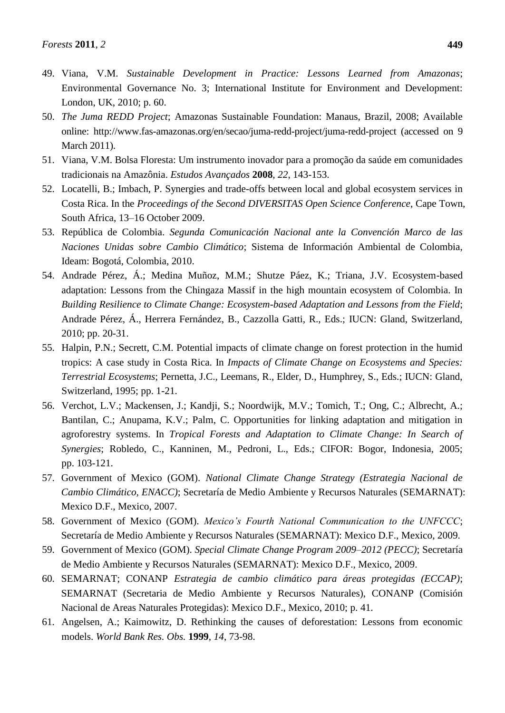- 49. Viana, V.M. *Sustainable Development in Practice: Lessons Learned from Amazonas*; Environmental Governance No. 3; International Institute for Environment and Development: London, UK, 2010; p. 60.
- 50. *The Juma REDD Project*; Amazonas Sustainable Foundation: Manaus, Brazil, 2008; Available online: http://www.fas-amazonas.org/en/secao/juma-redd-project/juma-redd-project (accessed on 9 March 2011).
- 51. Viana, V.M. Bolsa Floresta: Um instrumento inovador para a promoção da saúde em comunidades tradicionais na Amazônia. *Estudos Avançados* **2008**, *22*, 143-153.
- 52. Locatelli, B.; Imbach, P. Synergies and trade-offs between local and global ecosystem services in Costa Rica. In the *Proceedings of the Second DIVERSITAS Open Science Conference*, Cape Town, South Africa, 13–16 October 2009.
- 53. República de Colombia. *Segunda Comunicación Nacional ante la Convención Marco de las Naciones Unidas sobre Cambio Climático*; Sistema de Información Ambiental de Colombia, Ideam: Bogotá, Colombia, 2010.
- 54. Andrade Pérez, Á.; Medina Muñoz, M.M.; Shutze Páez, K.; Triana, J.V. Ecosystem-based adaptation: Lessons from the Chingaza Massif in the high mountain ecosystem of Colombia. In *Building Resilience to Climate Change: Ecosystem-based Adaptation and Lessons from the Field*; Andrade Pérez, Á., Herrera Fernández, B., Cazzolla Gatti, R., Eds.; IUCN: Gland, Switzerland, 2010; pp. 20-31.
- 55. Halpin, P.N.; Secrett, C.M. Potential impacts of climate change on forest protection in the humid tropics: A case study in Costa Rica. In *Impacts of Climate Change on Ecosystems and Species: Terrestrial Ecosystems*; Pernetta, J.C., Leemans, R., Elder, D., Humphrey, S., Eds.; IUCN: Gland, Switzerland, 1995; pp. 1-21.
- 56. Verchot, L.V.; Mackensen, J.; Kandji, S.; Noordwijk, M.V.; Tomich, T.; Ong, C.; Albrecht, A.; Bantilan, C.; Anupama, K.V.; Palm, C. Opportunities for linking adaptation and mitigation in agroforestry systems. In *Tropical Forests and Adaptation to Climate Change: In Search of Synergies*; Robledo, C., Kanninen, M., Pedroni, L., Eds.; CIFOR: Bogor, Indonesia, 2005; pp. 103-121.
- 57. Government of Mexico (GOM). *National Climate Change Strategy (Estrategia Nacional de Cambio Climático, ENACC)*; Secretar á de Medio Ambiente y Recursos Naturales (SEMARNAT): Mexico D.F., Mexico, 2007.
- 58. Government of Mexico (GOM). *Mexico's Fourth National Communication to the UNFCCC*; Secretar á de Medio Ambiente y Recursos Naturales (SEMARNAT): Mexico D.F., Mexico, 2009.
- 59. Government of Mexico (GOM). *Special Climate Change Program 2009–2012 (PECC)*; Secretaría de Medio Ambiente y Recursos Naturales (SEMARNAT): Mexico D.F., Mexico, 2009.
- 60. SEMARNAT; CONANP *Estrategia de cambio climático para áreas protegidas (ECCAP)*; SEMARNAT (Secretaria de Medio Ambiente y Recursos Naturales), CONANP (Comisión Nacional de Areas Naturales Protegidas): Mexico D.F., Mexico, 2010; p. 41.
- 61. Angelsen, A.; Kaimowitz, D. Rethinking the causes of deforestation: Lessons from economic models. *World Bank Res. Obs.* **1999**, *14*, 73-98.